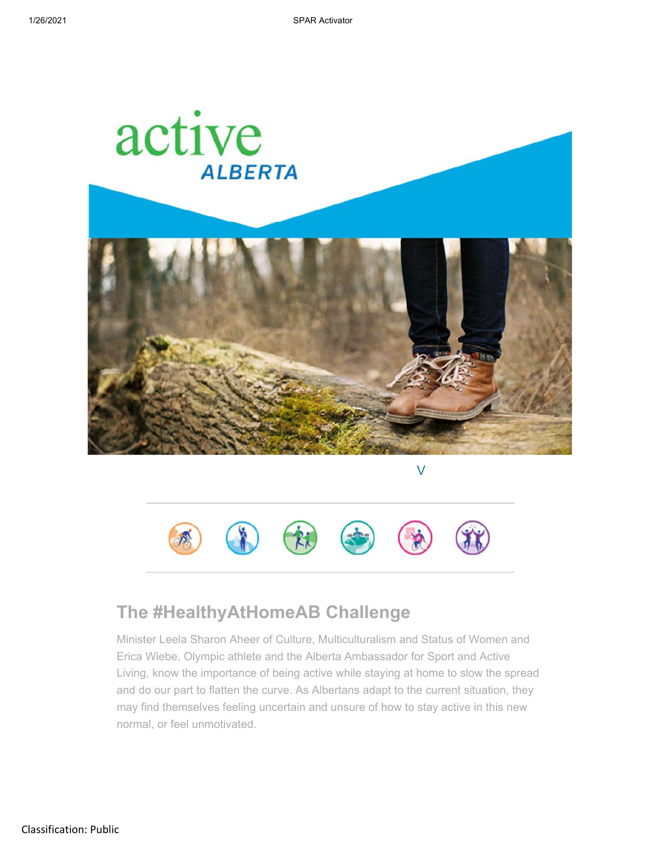

V



## **The #HealthyAtHomeAB Challenge**

Minister Leela Sharon Aheer of Culture, Multiculturalism and Status of Women and Erica Wiebe, Olympic athlete and the Alberta Ambassador for Sport and Active Living, know the importance of being active while staying at home to slow the spread and do our part to flatten the curve. As Albertans adapt to the current situation, they may find themselves feeling uncertain and unsure of how to stay active in this new normal, or feel unmotivated.